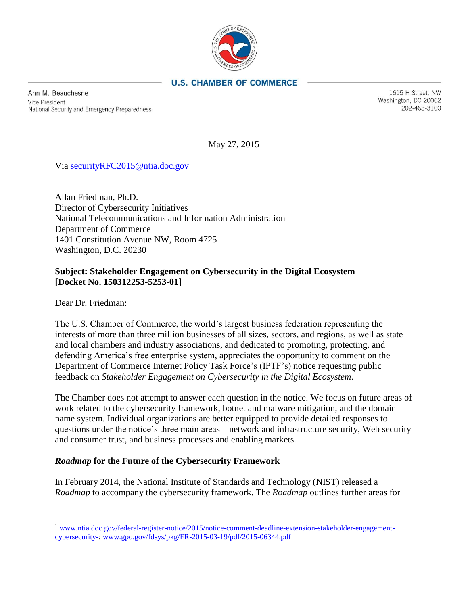

### **U.S. CHAMBER OF COMMERCE**

Ann M. Beauchesne **Vice President** National Security and Emergency Preparedness

1615 H Street, NW Washington, DC 20062 202-463-3100

May 27, 2015

Via [securityRFC2015@ntia.doc.gov](mailto:securityRFC2015@ntia.doc.gov)

Allan Friedman, Ph.D. Director of Cybersecurity Initiatives National Telecommunications and Information Administration Department of Commerce 1401 Constitution Avenue NW, Room 4725 Washington, D.C. 20230

## **Subject: Stakeholder Engagement on Cybersecurity in the Digital Ecosystem [Docket No. 150312253-5253-01]**

Dear Dr. Friedman:

 $\overline{a}$ 

The U.S. Chamber of Commerce, the world's largest business federation representing the interests of more than three million businesses of all sizes, sectors, and regions, as well as state and local chambers and industry associations, and dedicated to promoting, protecting, and defending America's free enterprise system, appreciates the opportunity to comment on the Department of Commerce Internet Policy Task Force's (IPTF's) notice requesting public feedback on *Stakeholder Engagement on Cybersecurity in the Digital Ecosystem*. 1

The Chamber does not attempt to answer each question in the notice. We focus on future areas of work related to the cybersecurity framework, botnet and malware mitigation, and the domain name system. Individual organizations are better equipped to provide detailed responses to questions under the notice's three main areas—network and infrastructure security, Web security and consumer trust, and business processes and enabling markets.

#### *Roadmap* **for the Future of the Cybersecurity Framework**

In February 2014, the National Institute of Standards and Technology (NIST) released a *Roadmap* to accompany the cybersecurity framework. The *Roadmap* outlines further areas for

<sup>&</sup>lt;sup>1</sup> [www.ntia.doc.gov/federal-register-notice/2015/notice-comment-deadline-extension-stakeholder-engagement](http://www.ntia.doc.gov/federal-register-notice/2015/notice-comment-deadline-extension-stakeholder-engagement-cybersecurity-)[cybersecurity-;](http://www.ntia.doc.gov/federal-register-notice/2015/notice-comment-deadline-extension-stakeholder-engagement-cybersecurity-) [www.gpo.gov/fdsys/pkg/FR-2015-03-19/pdf/2015-06344.pdf](http://www.gpo.gov/fdsys/pkg/FR-2015-03-19/pdf/2015-06344.pdf)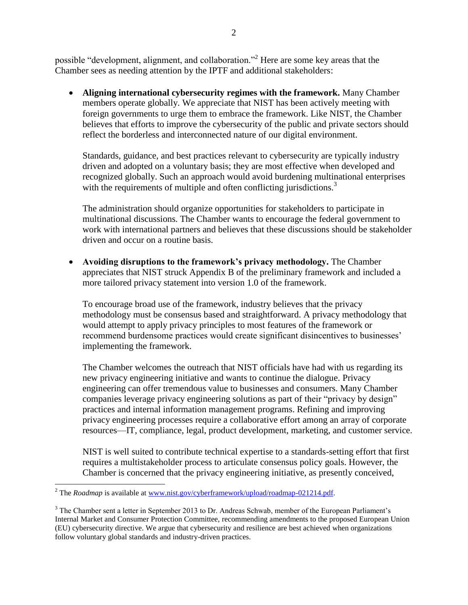possible "development, alignment, and collaboration."<sup>2</sup> Here are some key areas that the Chamber sees as needing attention by the IPTF and additional stakeholders:

 **Aligning international cybersecurity regimes with the framework.** Many Chamber members operate globally. We appreciate that NIST has been actively meeting with foreign governments to urge them to embrace the framework. Like NIST, the Chamber believes that efforts to improve the cybersecurity of the public and private sectors should reflect the borderless and interconnected nature of our digital environment.

Standards, guidance, and best practices relevant to cybersecurity are typically industry driven and adopted on a voluntary basis; they are most effective when developed and recognized globally. Such an approach would avoid burdening multinational enterprises with the requirements of multiple and often conflicting jurisdictions.<sup>3</sup>

The administration should organize opportunities for stakeholders to participate in multinational discussions. The Chamber wants to encourage the federal government to work with international partners and believes that these discussions should be stakeholder driven and occur on a routine basis.

 **Avoiding disruptions to the framework's privacy methodology.** The Chamber appreciates that NIST struck Appendix B of the preliminary framework and included a more tailored privacy statement into version 1.0 of the framework.

To encourage broad use of the framework, industry believes that the privacy methodology must be consensus based and straightforward. A privacy methodology that would attempt to apply privacy principles to most features of the framework or recommend burdensome practices would create significant disincentives to businesses' implementing the framework.

The Chamber welcomes the outreach that NIST officials have had with us regarding its new privacy engineering initiative and wants to continue the dialogue. Privacy engineering can offer tremendous value to businesses and consumers. Many Chamber companies leverage privacy engineering solutions as part of their "privacy by design" practices and internal information management programs. Refining and improving privacy engineering processes require a collaborative effort among an array of corporate resources—IT, compliance, legal, product development, marketing, and customer service.

NIST is well suited to contribute technical expertise to a standards-setting effort that first requires a multistakeholder process to articulate consensus policy goals. However, the Chamber is concerned that the privacy engineering initiative, as presently conceived,

 $\overline{a}$ <sup>2</sup> The *Roadmap* is available at [www.nist.gov/cyberframework/upload/roadmap-021214.pdf.](http://www.nist.gov/cyberframework/upload/roadmap-021214.pdf)

<sup>&</sup>lt;sup>3</sup> The Chamber sent a letter in September 2013 to Dr. Andreas Schwab, member of the European Parliament's Internal Market and Consumer Protection Committee, recommending amendments to the proposed European Union (EU) cybersecurity directive. We argue that cybersecurity and resilience are best achieved when organizations follow voluntary global standards and industry-driven practices.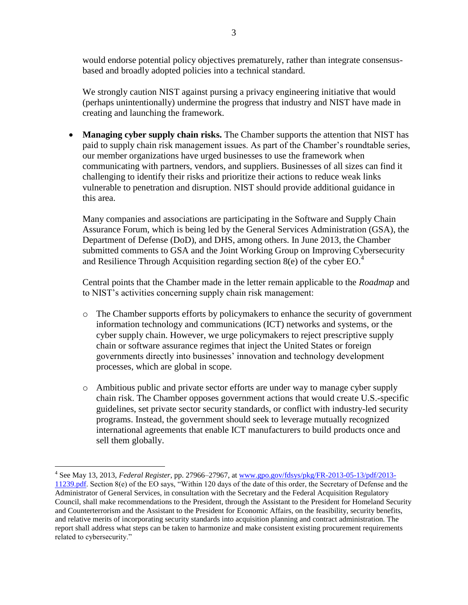would endorse potential policy objectives prematurely, rather than integrate consensusbased and broadly adopted policies into a technical standard.

We strongly caution NIST against pursing a privacy engineering initiative that would (perhaps unintentionally) undermine the progress that industry and NIST have made in creating and launching the framework.

 **Managing cyber supply chain risks.** The Chamber supports the attention that NIST has paid to supply chain risk management issues. As part of the Chamber's roundtable series, our member organizations have urged businesses to use the framework when communicating with partners, vendors, and suppliers. Businesses of all sizes can find it challenging to identify their risks and prioritize their actions to reduce weak links vulnerable to penetration and disruption. NIST should provide additional guidance in this area.

Many companies and associations are participating in the Software and Supply Chain Assurance Forum, which is being led by the General Services Administration (GSA), the Department of Defense (DoD), and DHS, among others. In June 2013, the Chamber submitted comments to GSA and the Joint Working Group on Improving Cybersecurity and Resilience Through Acquisition regarding section  $8(e)$  of the cyber EO.<sup>4</sup>

Central points that the Chamber made in the letter remain applicable to the *Roadmap* and to NIST's activities concerning supply chain risk management:

- o The Chamber supports efforts by policymakers to enhance the security of government information technology and communications (ICT) networks and systems, or the cyber supply chain. However, we urge policymakers to reject prescriptive supply chain or software assurance regimes that inject the United States or foreign governments directly into businesses' innovation and technology development processes, which are global in scope.
- o Ambitious public and private sector efforts are under way to manage cyber supply chain risk. The Chamber opposes government actions that would create U.S.-specific guidelines, set private sector security standards, or conflict with industry-led security programs. Instead, the government should seek to leverage mutually recognized international agreements that enable ICT manufacturers to build products once and sell them globally.

 $\overline{a}$ 

<sup>4</sup> See May 13, 2013, *Federal Register*, pp. 27966–27967, a[t www.gpo.gov/fdsys/pkg/FR-2013-05-13/pdf/2013-](http://www.gpo.gov/fdsys/pkg/FR-2013-05-13/pdf/2013-11239.pdf) [11239.pdf.](http://www.gpo.gov/fdsys/pkg/FR-2013-05-13/pdf/2013-11239.pdf) Section 8(e) of the EO says, "Within 120 days of the date of this order, the Secretary of Defense and the Administrator of General Services, in consultation with the Secretary and the Federal Acquisition Regulatory Council, shall make recommendations to the President, through the Assistant to the President for Homeland Security and Counterterrorism and the Assistant to the President for Economic Affairs, on the feasibility, security benefits, and relative merits of incorporating security standards into acquisition planning and contract administration. The report shall address what steps can be taken to harmonize and make consistent existing procurement requirements related to cybersecurity."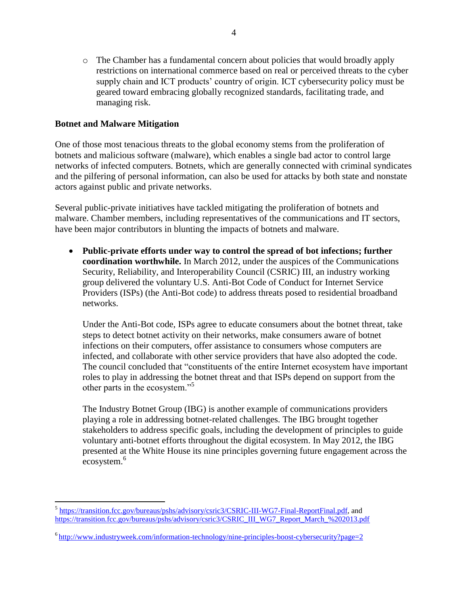o The Chamber has a fundamental concern about policies that would broadly apply restrictions on international commerce based on real or perceived threats to the cyber supply chain and ICT products' country of origin. ICT cybersecurity policy must be geared toward embracing globally recognized standards, facilitating trade, and managing risk.

## **Botnet and Malware Mitigation**

One of those most tenacious threats to the global economy stems from the proliferation of botnets and malicious software (malware), which enables a single bad actor to control large networks of infected computers. Botnets, which are generally connected with criminal syndicates and the pilfering of personal information, can also be used for attacks by both state and nonstate actors against public and private networks.

Several public-private initiatives have tackled mitigating the proliferation of botnets and malware. Chamber members, including representatives of the communications and IT sectors, have been major contributors in blunting the impacts of botnets and malware.

 **Public-private efforts under way to control the spread of bot infections; further coordination worthwhile.** In March 2012, under the auspices of the Communications Security, Reliability, and Interoperability Council (CSRIC) III, an industry working group delivered the voluntary U.S. Anti-Bot Code of Conduct for Internet Service Providers (ISPs) (the Anti-Bot code) to address threats posed to residential broadband networks.

Under the Anti-Bot code, ISPs agree to educate consumers about the botnet threat, take steps to detect botnet activity on their networks, make consumers aware of botnet infections on their computers, offer assistance to consumers whose computers are infected, and collaborate with other service providers that have also adopted the code. The council concluded that "constituents of the entire Internet ecosystem have important roles to play in addressing the botnet threat and that ISPs depend on support from the other parts in the ecosystem."<sup>5</sup>

The Industry Botnet Group (IBG) is another example of communications providers playing a role in addressing botnet-related challenges. The IBG brought together stakeholders to address specific goals, including the development of principles to guide voluntary anti-botnet efforts throughout the digital ecosystem. In May 2012, the IBG presented at the White House its nine principles governing future engagement across the ecosystem.<sup>6</sup>

 $\overline{a}$ <sup>5</sup> [https://transition.fcc.gov/bureaus/pshs/advisory/csric3/CSRIC-III-WG7-Final-ReportFinal.pdf,](https://transition.fcc.gov/bureaus/pshs/advisory/csric3/CSRIC-III-WG7-Final-ReportFinal.pdf) and [https://transition.fcc.gov/bureaus/pshs/advisory/csric3/CSRIC\\_III\\_WG7\\_Report\\_March\\_%202013.pdf](https://transition.fcc.gov/bureaus/pshs/advisory/csric3/CSRIC_III_WG7_Report_March_%202013.pdf)

<sup>&</sup>lt;sup>6</sup><http://www.industryweek.com/information-technology/nine-principles-boost-cybersecurity?page=2>